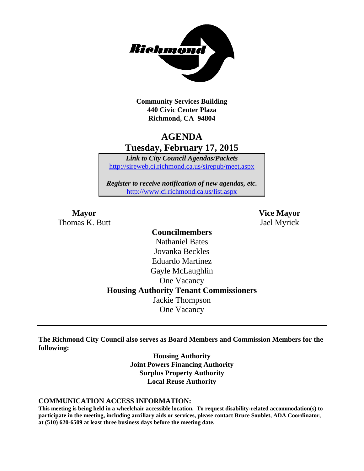

**Community Services Building 440 Civic Center Plaza Richmond, CA 94804**

## **AGENDA Tuesday, February 17, 2015**

*Link to City Council Agendas/Packets* <http://sireweb.ci.richmond.ca.us/sirepub/meet.aspx>

*Register to receive notification of new agendas, etc.* <http://www.ci.richmond.ca.us/list.aspx>

Thomas K. Butt Jael Myrick

**Mayor Vice Mayor**

### **Councilmembers** Nathaniel Bates Jovanka Beckles Eduardo Martinez Gayle McLaughlin One Vacancy **Housing Authority Tenant Commissioners** Jackie Thompson One Vacancy

**The Richmond City Council also serves as Board Members and Commission Members for the following:**

> **Housing Authority Joint Powers Financing Authority Surplus Property Authority Local Reuse Authority**

#### **COMMUNICATION ACCESS INFORMATION:**

**This meeting is being held in a wheelchair accessible location. To request disability-related accommodation(s) to participate in the meeting, including auxiliary aids or services, please contact Bruce Soublet, ADA Coordinator, at (510) 620-6509 at least three business days before the meeting date.**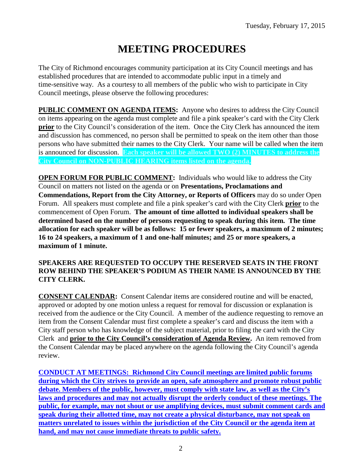# **MEETING PROCEDURES**

The City of Richmond encourages community participation at its City Council meetings and has established procedures that are intended to accommodate public input in a timely and time-sensitive way. As a courtesy to all members of the public who wish to participate in City Council meetings, please observe the following procedures:

**PUBLIC COMMENT ON AGENDA ITEMS:** Anyone who desires to address the City Council on items appearing on the agenda must complete and file a pink speaker's card with the City Clerk **prior** to the City Council's consideration of the item. Once the City Clerk has announced the item and discussion has commenced, no person shall be permitted to speak on the item other than those persons who have submitted their names to the City Clerk. Your name will be called when the item is announced for discussion. **Each speaker will be allowed TWO (2) MINUTES to address the City Council on NON-PUBLIC HEARING items listed on the agenda.**

**OPEN FORUM FOR PUBLIC COMMENT:** Individuals who would like to address the City Council on matters not listed on the agenda or on **Presentations, Proclamations and Commendations, Report from the City Attorney, or Reports of Officers** may do so under Open Forum. All speakers must complete and file a pink speaker's card with the City Clerk **prior** to the commencement of Open Forum. **The amount of time allotted to individual speakers shall be determined based on the number of persons requesting to speak during this item. The time allocation for each speaker will be as follows: 15 or fewer speakers, a maximum of 2 minutes; 16 to 24 speakers, a maximum of 1 and one-half minutes; and 25 or more speakers, a maximum of 1 minute.**

#### **SPEAKERS ARE REQUESTED TO OCCUPY THE RESERVED SEATS IN THE FRONT ROW BEHIND THE SPEAKER'S PODIUM AS THEIR NAME IS ANNOUNCED BY THE CITY CLERK.**

**CONSENT CALENDAR:** Consent Calendar items are considered routine and will be enacted, approved or adopted by one motion unless a request for removal for discussion or explanation is received from the audience or the City Council. A member of the audience requesting to remove an item from the Consent Calendar must first complete a speaker's card and discuss the item with a City staff person who has knowledge of the subject material, prior to filing the card with the City Clerk and **prior to the City Council's consideration of Agenda Review.** An item removed from the Consent Calendar may be placed anywhere on the agenda following the City Council's agenda review.

**CONDUCT AT MEETINGS: Richmond City Council meetings are limited public forums during which the City strives to provide an open, safe atmosphere and promote robust public debate. Members of the public, however, must comply with state law, as well as the City's laws and procedures and may not actually disrupt the orderly conduct of these meetings. The public, for example, may not shout or use amplifying devices, must submit comment cards and speak during their allotted time, may not create a physical disturbance, may not speak on matters unrelated to issues within the jurisdiction of the City Council or the agenda item at hand, and may not cause immediate threats to public safety.**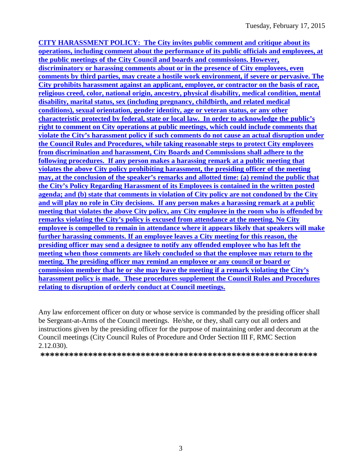**CITY HARASSMENT POLICY: The City invites public comment and critique about its operations, including comment about the performance of its public officials and employees, at the public meetings of the City Council and boards and commissions. However, discriminatory or harassing comments about or in the presence of City employees, even comments by third parties, may create a hostile work environment, if severe or pervasive. The City prohibits harassment against an applicant, employee, or contractor on the basis of race, religious creed, color, national origin, ancestry, physical disability, medical condition, mental disability, marital status, sex (including pregnancy, childbirth, and related medical conditions), sexual orientation, gender identity, age or veteran status, or any other characteristic protected by federal, state or local law. In order to acknowledge the public's right to comment on City operations at public meetings, which could include comments that violate the City's harassment policy if such comments do not cause an actual disruption under the Council Rules and Procedures, while taking reasonable steps to protect City employees from discrimination and harassment, City Boards and Commissions shall adhere to the following procedures. If any person makes a harassing remark at a public meeting that violates the above City policy prohibiting harassment, the presiding officer of the meeting may, at the conclusion of the speaker's remarks and allotted time: (a) remind the public that the City's Policy Regarding Harassment of its Employees is contained in the written posted agenda; and (b) state that comments in violation of City policy are not condoned by the City and will play no role in City decisions. If any person makes a harassing remark at a public meeting that violates the above City policy, any City employee in the room who is offended by remarks violating the City's policy is excused from attendance at the meeting. No City employee is compelled to remain in attendance where it appears likely that speakers will make further harassing comments. If an employee leaves a City meeting for this reason, the presiding officer may send a designee to notify any offended employee who has left the meeting when those comments are likely concluded so that the employee may return to the meeting. The presiding officer may remind an employee or any council or board or commission member that he or she may leave the meeting if a remark violating the City's harassment policy is made. These procedures supplement the Council Rules and Procedures relating to disruption of orderly conduct at Council meetings.**

Any law enforcement officer on duty or whose service is commanded by the presiding officer shall be Sergeant-at-Arms of the Council meetings. He/she, or they, shall carry out all orders and instructions given by the presiding officer for the purpose of maintaining order and decorum at the Council meetings (City Council Rules of Procedure and Order Section III F, RMC Section 2.12.030).

**\*\*\*\*\*\*\*\*\*\*\*\*\*\*\*\*\*\*\*\*\*\*\*\*\*\*\*\*\*\*\*\*\*\*\*\*\*\*\*\*\*\*\*\*\*\*\*\*\*\*\*\*\*\*\*\*\*\***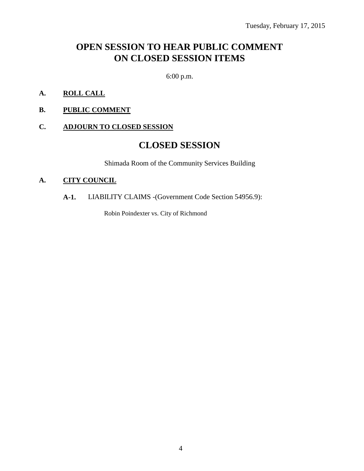## **OPEN SESSION TO HEAR PUBLIC COMMENT ON CLOSED SESSION ITEMS**

6:00 p.m.

- **A. ROLL CALL**
- **B. PUBLIC COMMENT**

#### **C. ADJOURN TO CLOSED SESSION**

### **CLOSED SESSION**

Shimada Room of the Community Services Building

#### **A. CITY COUNCIL**

#### **A-1.** LIABILITY CLAIMS -(Government Code Section 54956.9):

Robin Poindexter vs. City of Richmond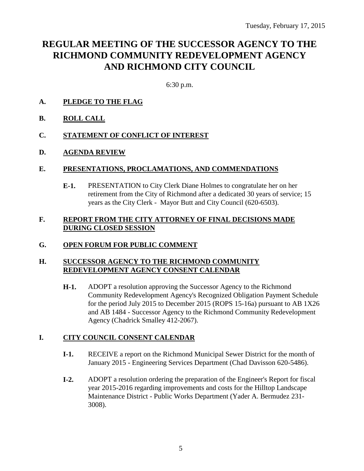# **REGULAR MEETING OF THE SUCCESSOR AGENCY TO THE RICHMOND COMMUNITY REDEVELOPMENT AGENCY AND RICHMOND CITY COUNCIL**

6:30 p.m.

- **A. PLEDGE TO THE FLAG**
- **B. ROLL CALL**
- **C. STATEMENT OF CONFLICT OF INTEREST**
- **D. AGENDA REVIEW**

#### **E. PRESENTATIONS, PROCLAMATIONS, AND COMMENDATIONS**

**E-1.** PRESENTATION to City Clerk Diane Holmes to congratulate her on her retirement from the City of Richmond after a dedicated 30 years of service; 15 years as the City Clerk - Mayor Butt and City Council (620-6503).

#### **F. REPORT FROM THE CITY ATTORNEY OF FINAL DECISIONS MADE DURING CLOSED SESSION**

#### **G. OPEN FORUM FOR PUBLIC COMMENT**

#### **H. SUCCESSOR AGENCY TO THE RICHMOND COMMUNITY REDEVELOPMENT AGENCY CONSENT CALENDAR**

**H-1.** ADOPT a resolution approving the Successor Agency to the Richmond Community Redevelopment Agency's Recognized Obligation Payment Schedule for the period July 2015 to December 2015 (ROPS 15-16a) pursuant to AB 1X26 and AB 1484 - Successor Agency to the Richmond Community Redevelopment Agency (Chadrick Smalley 412-2067).

#### **I. CITY COUNCIL CONSENT CALENDAR**

- **I-1.** RECEIVE a report on the Richmond Municipal Sewer District for the month of January 2015 - Engineering Services Department (Chad Davisson 620-5486).
- **I-2.** ADOPT a resolution ordering the preparation of the Engineer's Report for fiscal year 2015-2016 regarding improvements and costs for the Hilltop Landscape Maintenance District - Public Works Department (Yader A. Bermudez 231- 3008).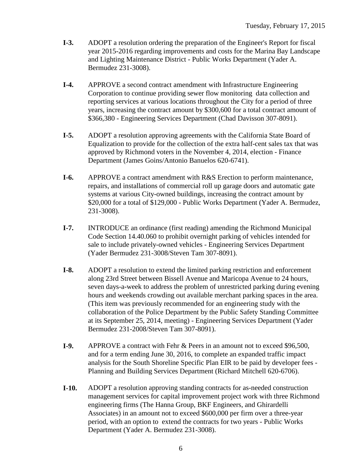- **I-3.** ADOPT a resolution ordering the preparation of the Engineer's Report for fiscal year 2015-2016 regarding improvements and costs for the Marina Bay Landscape and Lighting Maintenance District - Public Works Department (Yader A. Bermudez 231-3008).
- **I-4.** APPROVE a second contract amendment with Infrastructure Engineering Corporation to continue providing sewer flow monitoring data collection and reporting services at various locations throughout the City for a period of three years, increasing the contract amount by \$300,600 for a total contract amount of \$366,380 - Engineering Services Department (Chad Davisson 307-8091).
- **I-5.** ADOPT a resolution approving agreements with the California State Board of Equalization to provide for the collection of the extra half-cent sales tax that was approved by Richmond voters in the November 4, 2014, election - Finance Department (James Goins/Antonio Banuelos 620-6741).
- **I-6.** APPROVE a contract amendment with R&S Erection to perform maintenance, repairs, and installations of commercial roll up garage doors and automatic gate systems at various City-owned buildings, increasing the contract amount by \$20,000 for a total of \$129,000 - Public Works Department (Yader A. Bermudez, 231-3008).
- **I-7.** INTRODUCE an ordinance (first reading) amending the Richmond Municipal Code Section 14.40.060 to prohibit overnight parking of vehicles intended for sale to include privately-owned vehicles - Engineering Services Department (Yader Bermudez 231-3008/Steven Tam 307-8091).
- **I-8.** ADOPT a resolution to extend the limited parking restriction and enforcement along 23rd Street between Bissell Avenue and Maricopa Avenue to 24 hours, seven days-a-week to address the problem of unrestricted parking during evening hours and weekends crowding out available merchant parking spaces in the area. (This item was previously recommended for an engineering study with the collaboration of the Police Department by the Public Safety Standing Committee at its September 25, 2014, meeting) - Engineering Services Department (Yader Bermudez 231-2008/Steven Tam 307-8091).
- **I-9.** APPROVE a contract with Fehr & Peers in an amount not to exceed \$96,500, and for a term ending June 30, 2016, to complete an expanded traffic impact analysis for the South Shoreline Specific Plan EIR to be paid by developer fees - Planning and Building Services Department (Richard Mitchell 620-6706).
- **I-10.** ADOPT a resolution approving standing contracts for as-needed construction management services for capital improvement project work with three Richmond engineering firms (The Hanna Group, BKF Engineers, and Ghirardelli Associates) in an amount not to exceed \$600,000 per firm over a three-year period, with an option to extend the contracts for two years - Public Works Department (Yader A. Bermudez 231-3008).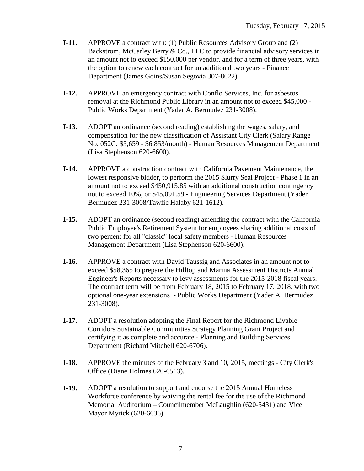- **I-11.** APPROVE a contract with: (1) Public Resources Advisory Group and (2) Backstrom, McCarley Berry & Co., LLC to provide financial advisory services in an amount not to exceed \$150,000 per vendor, and for a term of three years, with the option to renew each contract for an additional two years - Finance Department (James Goins/Susan Segovia 307-8022).
- **I-12.** APPROVE an emergency contract with Conflo Services, Inc. for asbestos removal at the Richmond Public Library in an amount not to exceed \$45,000 - Public Works Department (Yader A. Bermudez 231-3008).
- **I-13.** ADOPT an ordinance (second reading) establishing the wages, salary, and compensation for the new classification of Assistant City Clerk (Salary Range No. 052C: \$5,659 - \$6,853/month) - Human Resources Management Department (Lisa Stephenson 620-6600).
- **I-14.** APPROVE a construction contract with California Pavement Maintenance, the lowest responsive bidder, to perform the 2015 Slurry Seal Project - Phase 1 in an amount not to exceed \$450,915.85 with an additional construction contingency not to exceed 10%, or \$45,091.59 - Engineering Services Department (Yader Bermudez 231-3008/Tawfic Halaby 621-1612).
- **I-15.** ADOPT an ordinance (second reading) amending the contract with the California Public Employee's Retirement System for employees sharing additional costs of two percent for all "classic" local safety members - Human Resources Management Department (Lisa Stephenson 620-6600).
- **I-16.** APPROVE a contract with David Taussig and Associates in an amount not to exceed \$58,365 to prepare the Hilltop and Marina Assessment Districts Annual Engineer's Reports necessary to levy assessments for the 2015-2018 fiscal years. The contract term will be from February 18, 2015 to February 17, 2018, with two optional one-year extensions - Public Works Department (Yader A. Bermudez 231-3008).
- **I-17.** ADOPT a resolution adopting the Final Report for the Richmond Livable Corridors Sustainable Communities Strategy Planning Grant Project and certifying it as complete and accurate - Planning and Building Services Department (Richard Mitchell 620-6706).
- **I-18.** APPROVE the minutes of the February 3 and 10, 2015, meetings City Clerk's Office (Diane Holmes 620-6513).
- **I-19.** ADOPT a resolution to support and endorse the 2015 Annual Homeless Workforce conference by waiving the rental fee for the use of the Richmond Memorial Auditorium – Councilmember McLaughlin (620-5431) and Vice Mayor Myrick (620-6636).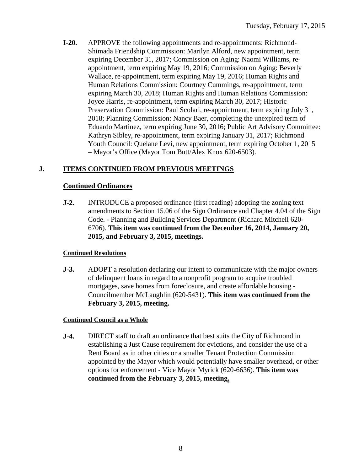**I-20.** APPROVE the following appointments and re-appointments: Richmond-Shimada Friendship Commission: Marilyn Alford, new appointment, term expiring December 31, 2017; Commission on Aging: Naomi Williams, reappointment, term expiring May 19, 2016; Commission on Aging: Beverly Wallace, re-appointment, term expiring May 19, 2016; Human Rights and Human Relations Commission: Courtney Cummings, re-appointment, term expiring March 30, 2018; Human Rights and Human Relations Commission: Joyce Harris, re-appointment, term expiring March 30, 2017; Historic Preservation Commission: Paul Scolari, re-appointment, term expiring July 31, 2018; Planning Commission: Nancy Baer, completing the unexpired term of Eduardo Martinez, term expiring June 30, 2016; Public Art Advisory Committee: Kathryn Sibley, re-appointment, term expiring January 31, 2017; Richmond Youth Council: Quelane Levi, new appointment, term expiring October 1, 2015 – Mayor's Office (Mayor Tom Butt/Alex Knox 620-6503).

#### **J. ITEMS CONTINUED FROM PREVIOUS MEETINGS**

#### **Continued Ordinances**

**J-2.** INTRODUCE a proposed ordinance (first reading) adopting the zoning text amendments to Section 15.06 of the Sign Ordinance and Chapter 4.04 of the Sign Code. - Planning and Building Services Department (Richard Mitchell 620- 6706). **This item was continued from the December 16, 2014, January 20, 2015, and February 3, 2015, meetings.**

#### **Continued Resolutions**

**J-3.** ADOPT a resolution declaring our intent to communicate with the major owners of delinquent loans in regard to a nonprofit program to acquire troubled mortgages, save homes from foreclosure, and create affordable housing - Councilmember McLaughlin (620-5431). **This item was continued from the February 3, 2015, meeting.**

#### **Continued Council as a Whole**

**J-4.** DIRECT staff to draft an ordinance that best suits the City of Richmond in establishing a Just Cause requirement for evictions, and consider the use of a Rent Board as in other cities or a smaller Tenant Protection Commission appointed by the Mayor which would potentially have smaller overhead, or other options for enforcement - Vice Mayor Myrick (620-6636). **This item was continued from the February 3, 2015, meeting.**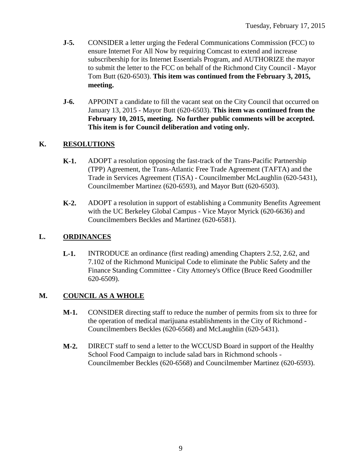- **J-5.** CONSIDER a letter urging the Federal Communications Commission (FCC) to ensure Internet For All Now by requiring Comcast to extend and increase subscribership for its Internet Essentials Program, and AUTHORIZE the mayor to submit the letter to the FCC on behalf of the Richmond City Council - Mayor Tom Butt (620-6503). **This item was continued from the February 3, 2015, meeting.**
- **J-6.** APPOINT a candidate to fill the vacant seat on the City Council that occurred on January 13, 2015 - Mayor Butt (620-6503). **This item was continued from the February 10, 2015, meeting. No further public comments will be accepted. This item is for Council deliberation and voting only.**

#### **K. RESOLUTIONS**

- **K-1.** ADOPT a resolution opposing the fast-track of the Trans-Pacific Partnership (TPP) Agreement, the Trans-Atlantic Free Trade Agreement (TAFTA) and the Trade in Services Agreement (TiSA) - Councilmember McLaughlin (620-5431), Councilmember Martinez (620-6593), and Mayor Butt (620-6503).
- **K-2.** ADOPT a resolution in support of establishing a Community Benefits Agreement with the UC Berkeley Global Campus - Vice Mayor Myrick (620-6636) and Councilmembers Beckles and Martinez (620-6581).

#### **L. ORDINANCES**

**L-1.** INTRODUCE an ordinance (first reading) amending Chapters 2.52, 2.62, and 7.102 of the Richmond Municipal Code to eliminate the Public Safety and the Finance Standing Committee - City Attorney's Office (Bruce Reed Goodmiller 620-6509).

#### **M. COUNCIL AS A WHOLE**

- **M-1.** CONSIDER directing staff to reduce the number of permits from six to three for the operation of medical marijuana establishments in the City of Richmond - Councilmembers Beckles (620-6568) and McLaughlin (620-5431).
- **M-2.** DIRECT staff to send a letter to the WCCUSD Board in support of the Healthy School Food Campaign to include salad bars in Richmond schools - Councilmember Beckles (620-6568) and Councilmember Martinez (620-6593).